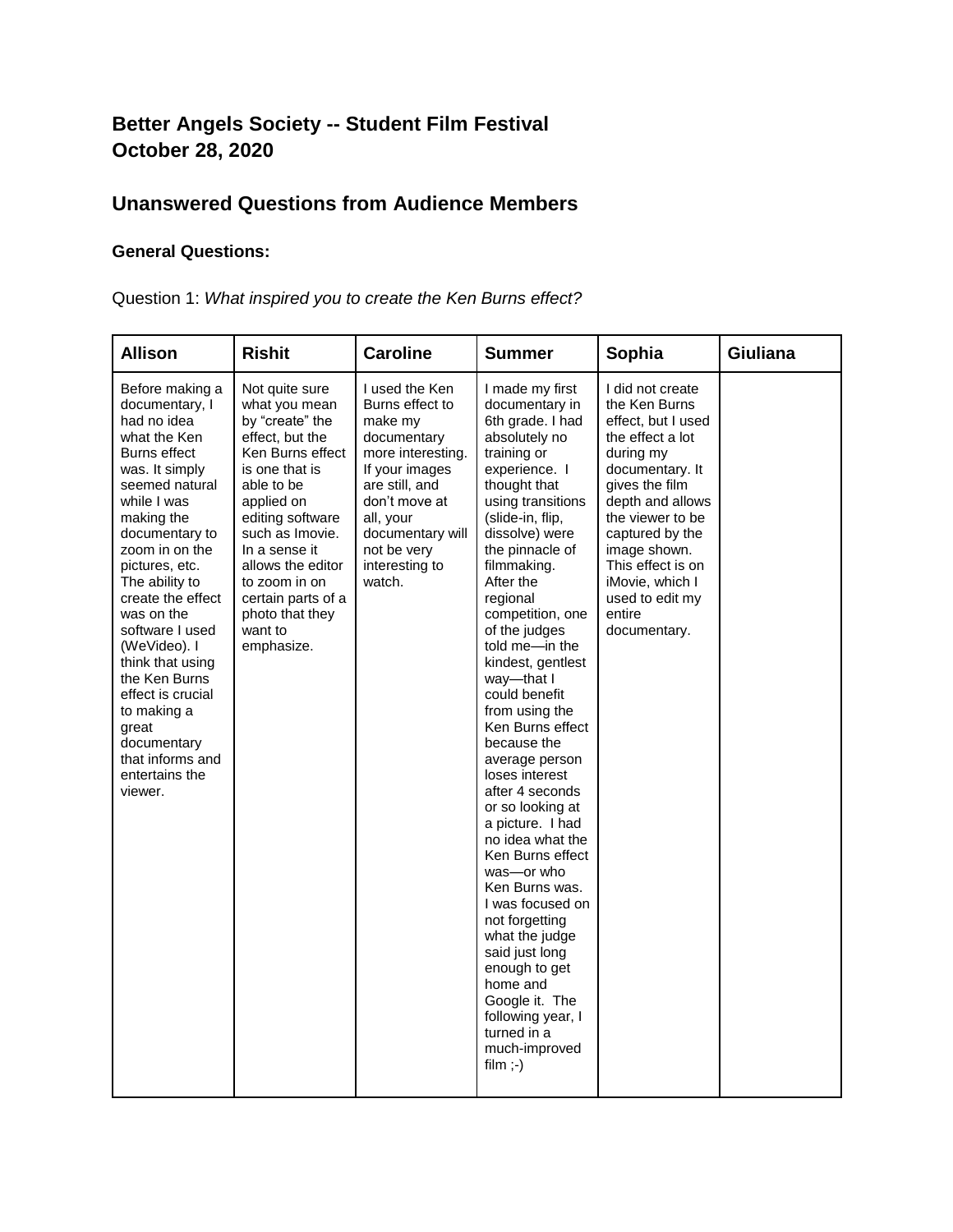# **Better Angels Society -- Student Film Festival October 28, 2020**

## **Unanswered Questions from Audience Members**

## **General Questions:**

Question 1: *What inspired you to create the Ken Burns effect?*

| <b>Allison</b>                                                                                                                                                                                                                                                                                                                                                                                                                                    | <b>Rishit</b>                                                                                                                                                                                                                                                                                           | <b>Caroline</b>                                                                                                                                                                                                   | <b>Summer</b>                                                                                                                                                                                                                                                                                                                                                                                                                                                                                                                                                                                                                                                                                                                                                                   | Sophia                                                                                                                                                                                                                                                                                        | Giuliana |
|---------------------------------------------------------------------------------------------------------------------------------------------------------------------------------------------------------------------------------------------------------------------------------------------------------------------------------------------------------------------------------------------------------------------------------------------------|---------------------------------------------------------------------------------------------------------------------------------------------------------------------------------------------------------------------------------------------------------------------------------------------------------|-------------------------------------------------------------------------------------------------------------------------------------------------------------------------------------------------------------------|---------------------------------------------------------------------------------------------------------------------------------------------------------------------------------------------------------------------------------------------------------------------------------------------------------------------------------------------------------------------------------------------------------------------------------------------------------------------------------------------------------------------------------------------------------------------------------------------------------------------------------------------------------------------------------------------------------------------------------------------------------------------------------|-----------------------------------------------------------------------------------------------------------------------------------------------------------------------------------------------------------------------------------------------------------------------------------------------|----------|
| Before making a<br>documentary, I<br>had no idea<br>what the Ken<br>Burns effect<br>was. It simply<br>seemed natural<br>while I was<br>making the<br>documentary to<br>zoom in on the<br>pictures, etc.<br>The ability to<br>create the effect<br>was on the<br>software I used<br>(WeVideo). I<br>think that using<br>the Ken Burns<br>effect is crucial<br>to making a<br>great<br>documentary<br>that informs and<br>entertains the<br>viewer. | Not quite sure<br>what you mean<br>by "create" the<br>effect, but the<br>Ken Burns effect<br>is one that is<br>able to be<br>applied on<br>editing software<br>such as Imovie.<br>In a sense it<br>allows the editor<br>to zoom in on<br>certain parts of a<br>photo that they<br>want to<br>emphasize. | I used the Ken<br>Burns effect to<br>make my<br>documentary<br>more interesting.<br>If your images<br>are still, and<br>don't move at<br>all, your<br>documentary will<br>not be very<br>interesting to<br>watch. | I made my first<br>documentary in<br>6th grade. I had<br>absolutely no<br>training or<br>experience. I<br>thought that<br>using transitions<br>(slide-in, flip,<br>dissolve) were<br>the pinnacle of<br>filmmaking.<br>After the<br>regional<br>competition, one<br>of the judges<br>told me-in the<br>kindest, gentlest<br>way-that I<br>could benefit<br>from using the<br>Ken Burns effect<br>because the<br>average person<br>loses interest<br>after 4 seconds<br>or so looking at<br>a picture. I had<br>no idea what the<br>Ken Burns effect<br>was-or who<br>Ken Burns was.<br>I was focused on<br>not forgetting<br>what the judge<br>said just long<br>enough to get<br>home and<br>Google it. The<br>following year, I<br>turned in a<br>much-improved<br>film $;-)$ | I did not create<br>the Ken Burns<br>effect. but I used<br>the effect a lot<br>during my<br>documentary. It<br>gives the film<br>depth and allows<br>the viewer to be<br>captured by the<br>image shown.<br>This effect is on<br>iMovie, which I<br>used to edit my<br>entire<br>documentary. |          |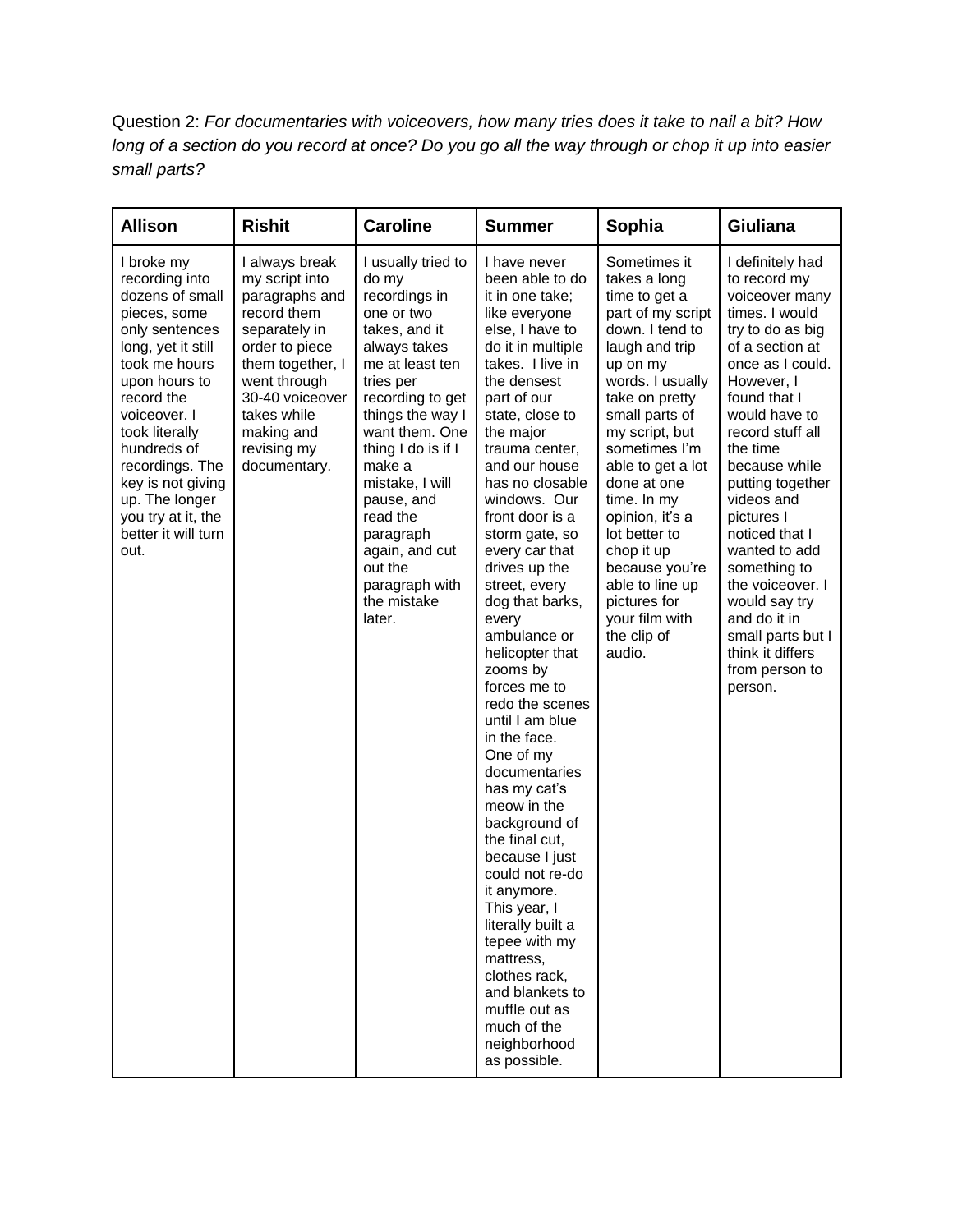Question 2: *For documentaries with voiceovers, how many tries does it take to nail a bit? How long of a section do you record at once? Do you go all the way through or chop it up into easier small parts?*

| <b>Allison</b>                                                                                                                                                                                                                                                                                                          | <b>Rishit</b>                                                                                                                                                                                                           | <b>Caroline</b>                                                                                                                                                                                                                                                                                                                                         | <b>Summer</b>                                                                                                                                                                                                                                                                                                                                                                                                                                                                                                                                                                                                                                                                                                                                                                                                                            | Sophia                                                                                                                                                                                                                                                                                                                                                                                                              | Giuliana                                                                                                                                                                                                                                                                                                                                                                                                                                                      |
|-------------------------------------------------------------------------------------------------------------------------------------------------------------------------------------------------------------------------------------------------------------------------------------------------------------------------|-------------------------------------------------------------------------------------------------------------------------------------------------------------------------------------------------------------------------|---------------------------------------------------------------------------------------------------------------------------------------------------------------------------------------------------------------------------------------------------------------------------------------------------------------------------------------------------------|------------------------------------------------------------------------------------------------------------------------------------------------------------------------------------------------------------------------------------------------------------------------------------------------------------------------------------------------------------------------------------------------------------------------------------------------------------------------------------------------------------------------------------------------------------------------------------------------------------------------------------------------------------------------------------------------------------------------------------------------------------------------------------------------------------------------------------------|---------------------------------------------------------------------------------------------------------------------------------------------------------------------------------------------------------------------------------------------------------------------------------------------------------------------------------------------------------------------------------------------------------------------|---------------------------------------------------------------------------------------------------------------------------------------------------------------------------------------------------------------------------------------------------------------------------------------------------------------------------------------------------------------------------------------------------------------------------------------------------------------|
| I broke my<br>recording into<br>dozens of small<br>pieces, some<br>only sentences<br>long, yet it still<br>took me hours<br>upon hours to<br>record the<br>voiceover. I<br>took literally<br>hundreds of<br>recordings. The<br>key is not giving<br>up. The longer<br>you try at it, the<br>better it will turn<br>out. | I always break<br>my script into<br>paragraphs and<br>record them<br>separately in<br>order to piece<br>them together, I<br>went through<br>30-40 voiceover<br>takes while<br>making and<br>revising my<br>documentary. | I usually tried to<br>do my<br>recordings in<br>one or two<br>takes, and it<br>always takes<br>me at least ten<br>tries per<br>recording to get<br>things the way I<br>want them. One<br>thing I do is if I<br>make a<br>mistake, I will<br>pause, and<br>read the<br>paragraph<br>again, and cut<br>out the<br>paragraph with<br>the mistake<br>later. | I have never<br>been able to do<br>it in one take;<br>like everyone<br>else, I have to<br>do it in multiple<br>takes. I live in<br>the densest<br>part of our<br>state, close to<br>the major<br>trauma center,<br>and our house<br>has no closable<br>windows. Our<br>front door is a<br>storm gate, so<br>every car that<br>drives up the<br>street, every<br>dog that barks,<br>every<br>ambulance or<br>helicopter that<br>zooms by<br>forces me to<br>redo the scenes<br>until I am blue<br>in the face.<br>One of my<br>documentaries<br>has my cat's<br>meow in the<br>background of<br>the final cut,<br>because I just<br>could not re-do<br>it anymore.<br>This year, I<br>literally built a<br>tepee with my<br>mattress,<br>clothes rack,<br>and blankets to<br>muffle out as<br>much of the<br>neighborhood<br>as possible. | Sometimes it<br>takes a long<br>time to get a<br>part of my script<br>down. I tend to<br>laugh and trip<br>up on my<br>words. I usually<br>take on pretty<br>small parts of<br>my script, but<br>sometimes I'm<br>able to get a lot<br>done at one<br>time. In my<br>opinion, it's a<br>lot better to<br>chop it up<br>because you're<br>able to line up<br>pictures for<br>your film with<br>the clip of<br>audio. | I definitely had<br>to record my<br>voiceover many<br>times. I would<br>try to do as big<br>of a section at<br>once as I could.<br>However, I<br>found that I<br>would have to<br>record stuff all<br>the time<br>because while<br>putting together<br>videos and<br>pictures I<br>noticed that I<br>wanted to add<br>something to<br>the voiceover. I<br>would say try<br>and do it in<br>small parts but I<br>think it differs<br>from person to<br>person. |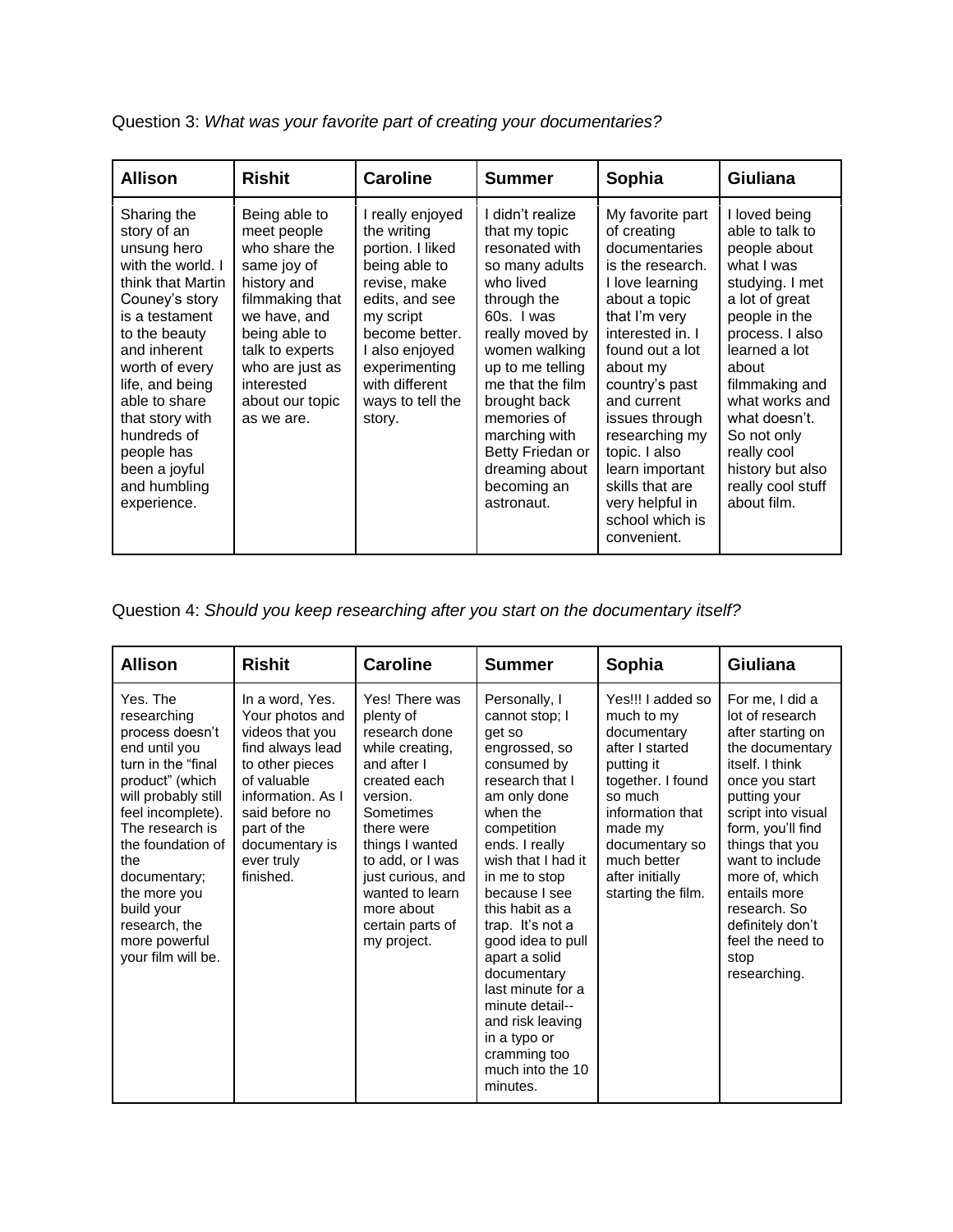| <b>Allison</b>                                                                                                                                                                                                                                                                                                 | <b>Rishit</b>                                                                                                                                                                                                        | <b>Caroline</b>                                                                                                                                                                                                          | <b>Summer</b>                                                                                                                                                                                                                                                                                                  | Sophia                                                                                                                                                                                                                                                                                                                                                        | <b>Giuliana</b>                                                                                                                                                                                                                                                                                              |
|----------------------------------------------------------------------------------------------------------------------------------------------------------------------------------------------------------------------------------------------------------------------------------------------------------------|----------------------------------------------------------------------------------------------------------------------------------------------------------------------------------------------------------------------|--------------------------------------------------------------------------------------------------------------------------------------------------------------------------------------------------------------------------|----------------------------------------------------------------------------------------------------------------------------------------------------------------------------------------------------------------------------------------------------------------------------------------------------------------|---------------------------------------------------------------------------------------------------------------------------------------------------------------------------------------------------------------------------------------------------------------------------------------------------------------------------------------------------------------|--------------------------------------------------------------------------------------------------------------------------------------------------------------------------------------------------------------------------------------------------------------------------------------------------------------|
| Sharing the<br>story of an<br>unsung hero<br>with the world. I<br>think that Martin<br>Couney's story<br>is a testament<br>to the beauty<br>and inherent<br>worth of every<br>life, and being<br>able to share<br>that story with<br>hundreds of<br>people has<br>been a joyful<br>and humbling<br>experience. | Being able to<br>meet people<br>who share the<br>same joy of<br>history and<br>filmmaking that<br>we have, and<br>being able to<br>talk to experts<br>who are just as<br>interested<br>about our topic<br>as we are. | I really enjoyed<br>the writing<br>portion. I liked<br>being able to<br>revise, make<br>edits, and see<br>my script<br>become better.<br>I also enjoyed<br>experimenting<br>with different<br>ways to tell the<br>story. | I didn't realize<br>that my topic<br>resonated with<br>so many adults<br>who lived<br>through the<br>60s. I was<br>really moved by<br>women walking<br>up to me telling<br>me that the film<br>brought back<br>memories of<br>marching with<br>Betty Friedan or<br>dreaming about<br>becoming an<br>astronaut. | My favorite part<br>of creating<br>documentaries<br>is the research.<br>I love learning<br>about a topic<br>that I'm very<br>interested in. I<br>found out a lot<br>about my<br>country's past<br>and current<br>issues through<br>researching my<br>topic. I also<br>learn important<br>skills that are<br>very helpful in<br>school which is<br>convenient. | I loved being<br>able to talk to<br>people about<br>what I was<br>studying. I met<br>a lot of great<br>people in the<br>process. I also<br>learned a lot<br>about<br>filmmaking and<br>what works and<br>what doesn't.<br>So not only<br>really cool<br>history but also<br>really cool stuff<br>about film. |

Question 3: *What was your favorite part of creating your documentaries?*

Question 4: *Should you keep researching after you start on the documentary itself?*

| <b>Allison</b>                                                                                                                                                                                                                                                                                         | <b>Rishit</b>                                                                                                                                                                                                  | <b>Caroline</b>                                                                                                                                                                                                                                                       | <b>Summer</b>                                                                                                                                                                                                                                                                                                                                                                                                                             | Sophia                                                                                                                                                                                                                   | <b>Giuliana</b>                                                                                                                                                                                                                                                                                                                    |
|--------------------------------------------------------------------------------------------------------------------------------------------------------------------------------------------------------------------------------------------------------------------------------------------------------|----------------------------------------------------------------------------------------------------------------------------------------------------------------------------------------------------------------|-----------------------------------------------------------------------------------------------------------------------------------------------------------------------------------------------------------------------------------------------------------------------|-------------------------------------------------------------------------------------------------------------------------------------------------------------------------------------------------------------------------------------------------------------------------------------------------------------------------------------------------------------------------------------------------------------------------------------------|--------------------------------------------------------------------------------------------------------------------------------------------------------------------------------------------------------------------------|------------------------------------------------------------------------------------------------------------------------------------------------------------------------------------------------------------------------------------------------------------------------------------------------------------------------------------|
| Yes. The<br>researching<br>process doesn't<br>end until you<br>turn in the "final"<br>product" (which<br>will probably still<br>feel incomplete).<br>The research is<br>the foundation of<br>the<br>documentary;<br>the more you<br>build your<br>research, the<br>more powerful<br>your film will be. | In a word, Yes.<br>Your photos and<br>videos that you<br>find always lead<br>to other pieces<br>of valuable<br>information. As I<br>said before no<br>part of the<br>documentary is<br>ever truly<br>finished. | Yes! There was<br>plenty of<br>research done<br>while creating,<br>and after I<br>created each<br>version.<br>Sometimes<br>there were<br>things I wanted<br>to add, or I was<br>just curious, and<br>wanted to learn<br>more about<br>certain parts of<br>my project. | Personally, I<br>cannot stop; I<br>get so<br>engrossed, so<br>consumed by<br>research that I<br>am only done<br>when the<br>competition<br>ends. I really<br>wish that I had it<br>in me to stop<br>because I see<br>this habit as a<br>trap. It's not a<br>good idea to pull<br>apart a solid<br>documentary<br>last minute for a<br>minute detail--<br>and risk leaving<br>in a typo or<br>cramming too<br>much into the 10<br>minutes. | Yes!!! I added so<br>much to my<br>documentary<br>after I started<br>putting it<br>together. I found<br>so much<br>information that<br>made my<br>documentary so<br>much better<br>after initially<br>starting the film. | For me, I did a<br>lot of research<br>after starting on<br>the documentary<br>itself. I think<br>once you start<br>putting your<br>script into visual<br>form, you'll find<br>things that you<br>want to include<br>more of, which<br>entails more<br>research. So<br>definitely don't<br>feel the need to<br>stop<br>researching. |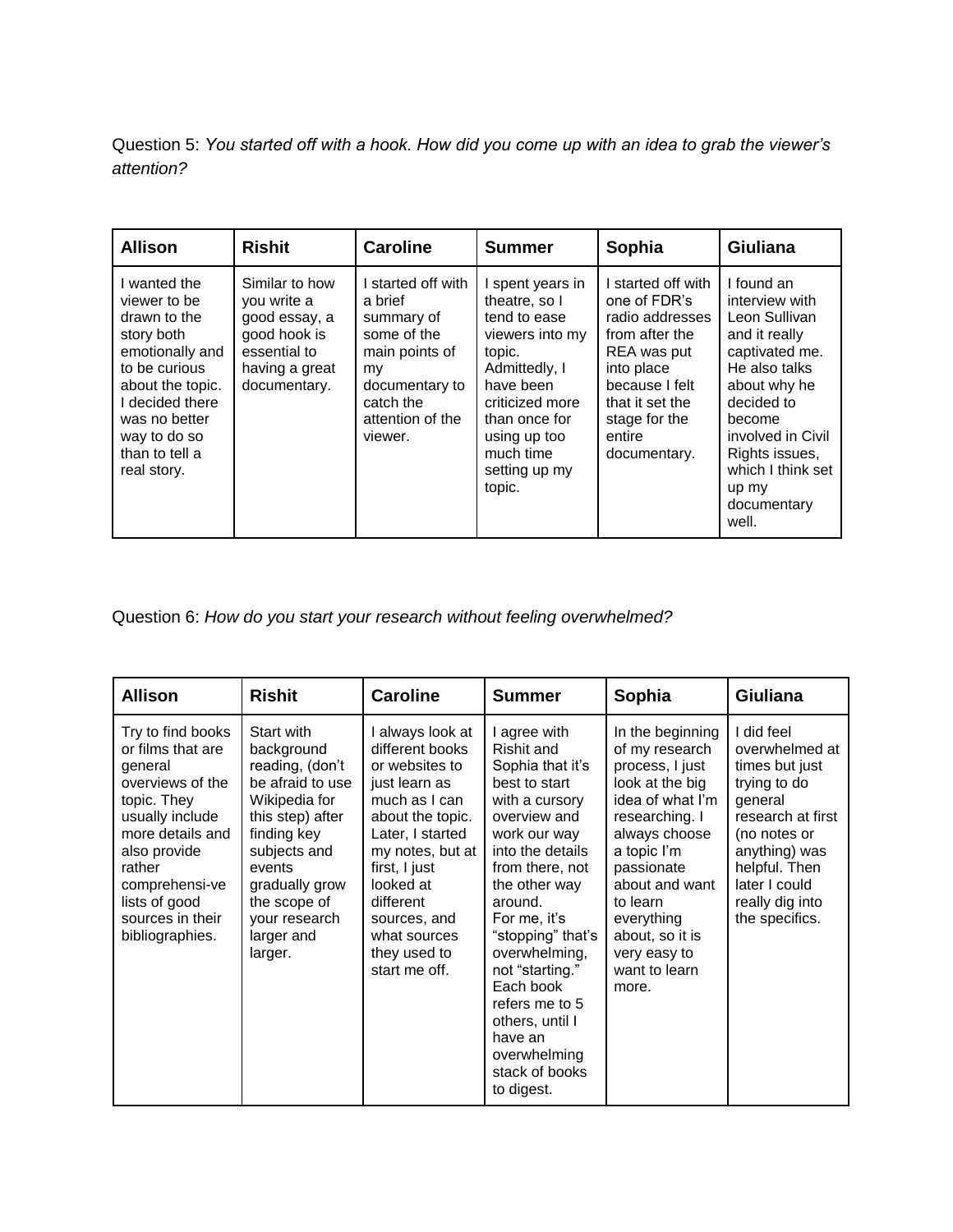Question 5: *You started off with a hook. How did you come up with an idea to grab the viewer's attention?*

| <b>Allison</b>                                                                                                                                                                                          | <b>Rishit</b>                                                                                                    | <b>Caroline</b>                                                                                                                                  | <b>Summer</b>                                                                                                                                                                                            | Sophia                                                                                                                                                                             | <b>Giuliana</b>                                                                                                                                                                                                                        |
|---------------------------------------------------------------------------------------------------------------------------------------------------------------------------------------------------------|------------------------------------------------------------------------------------------------------------------|--------------------------------------------------------------------------------------------------------------------------------------------------|----------------------------------------------------------------------------------------------------------------------------------------------------------------------------------------------------------|------------------------------------------------------------------------------------------------------------------------------------------------------------------------------------|----------------------------------------------------------------------------------------------------------------------------------------------------------------------------------------------------------------------------------------|
| I wanted the<br>viewer to be<br>drawn to the<br>story both<br>emotionally and<br>to be curious<br>about the topic.<br>I decided there<br>was no better<br>way to do so<br>than to tell a<br>real story. | Similar to how<br>you write a<br>good essay, a<br>good hook is<br>essential to<br>having a great<br>documentary. | I started off with<br>a brief<br>summary of<br>some of the<br>main points of<br>my<br>documentary to<br>catch the<br>attention of the<br>viewer. | I spent years in<br>theatre, so I<br>tend to ease<br>viewers into my<br>topic.<br>Admittedly, I<br>have been<br>criticized more<br>than once for<br>using up too<br>much time<br>setting up my<br>topic. | started off with<br>one of FDR's<br>radio addresses<br>from after the<br>REA was put<br>into place<br>because I felt<br>that it set the<br>stage for the<br>entire<br>documentary. | I found an<br>interview with<br>Leon Sullivan<br>and it really<br>captivated me.<br>He also talks<br>about why he<br>decided to<br>become<br>involved in Civil<br>Rights issues,<br>which I think set<br>up my<br>documentary<br>well. |

Question 6: *How do you start your research without feeling overwhelmed?*

| Allison                                                                                                                                                                                                                         | <b>Rishit</b>                                                                                                                                                                                                             | <b>Caroline</b>                                                                                                                                                                                                                                                 | <b>Summer</b>                                                                                                                                                                                                                                                                                                                                                            | Sophia                                                                                                                                                                                                                                                                | <b>Giuliana</b>                                                                                                                                                                                        |
|---------------------------------------------------------------------------------------------------------------------------------------------------------------------------------------------------------------------------------|---------------------------------------------------------------------------------------------------------------------------------------------------------------------------------------------------------------------------|-----------------------------------------------------------------------------------------------------------------------------------------------------------------------------------------------------------------------------------------------------------------|--------------------------------------------------------------------------------------------------------------------------------------------------------------------------------------------------------------------------------------------------------------------------------------------------------------------------------------------------------------------------|-----------------------------------------------------------------------------------------------------------------------------------------------------------------------------------------------------------------------------------------------------------------------|--------------------------------------------------------------------------------------------------------------------------------------------------------------------------------------------------------|
| Try to find books<br>or films that are<br>general<br>overviews of the<br>topic. They<br>usually include<br>more details and<br>also provide<br>rather<br>comprehensi-ve<br>lists of good<br>sources in their<br>bibliographies. | Start with<br>background<br>reading, (don't<br>be afraid to use<br>Wikipedia for<br>this step) after<br>finding key<br>subjects and<br>events<br>gradually grow<br>the scope of<br>your research<br>larger and<br>larger. | I always look at<br>different books<br>or websites to<br>just learn as<br>much as I can<br>about the topic.<br>Later, I started<br>my notes, but at<br>first, I just<br>looked at<br>different<br>sources, and<br>what sources<br>they used to<br>start me off. | agree with<br>Rishit and<br>Sophia that it's<br>best to start<br>with a cursory<br>overview and<br>work our way<br>into the details<br>from there, not<br>the other way<br>around.<br>For me, it's<br>"stopping" that's<br>overwhelming,<br>not "starting."<br>Each book<br>refers me to 5<br>others, until I<br>have an<br>overwhelming<br>stack of books<br>to digest. | In the beginning<br>of my research<br>process, I just<br>look at the big<br>idea of what I'm<br>researching. I<br>always choose<br>a topic I'm<br>passionate<br>about and want<br>to learn<br>everything<br>about, so it is<br>very easy to<br>want to learn<br>more. | I did feel<br>overwhelmed at<br>times but just<br>trying to do<br>general<br>research at first<br>(no notes or<br>anything) was<br>helpful. Then<br>later I could<br>really dig into<br>the specifics. |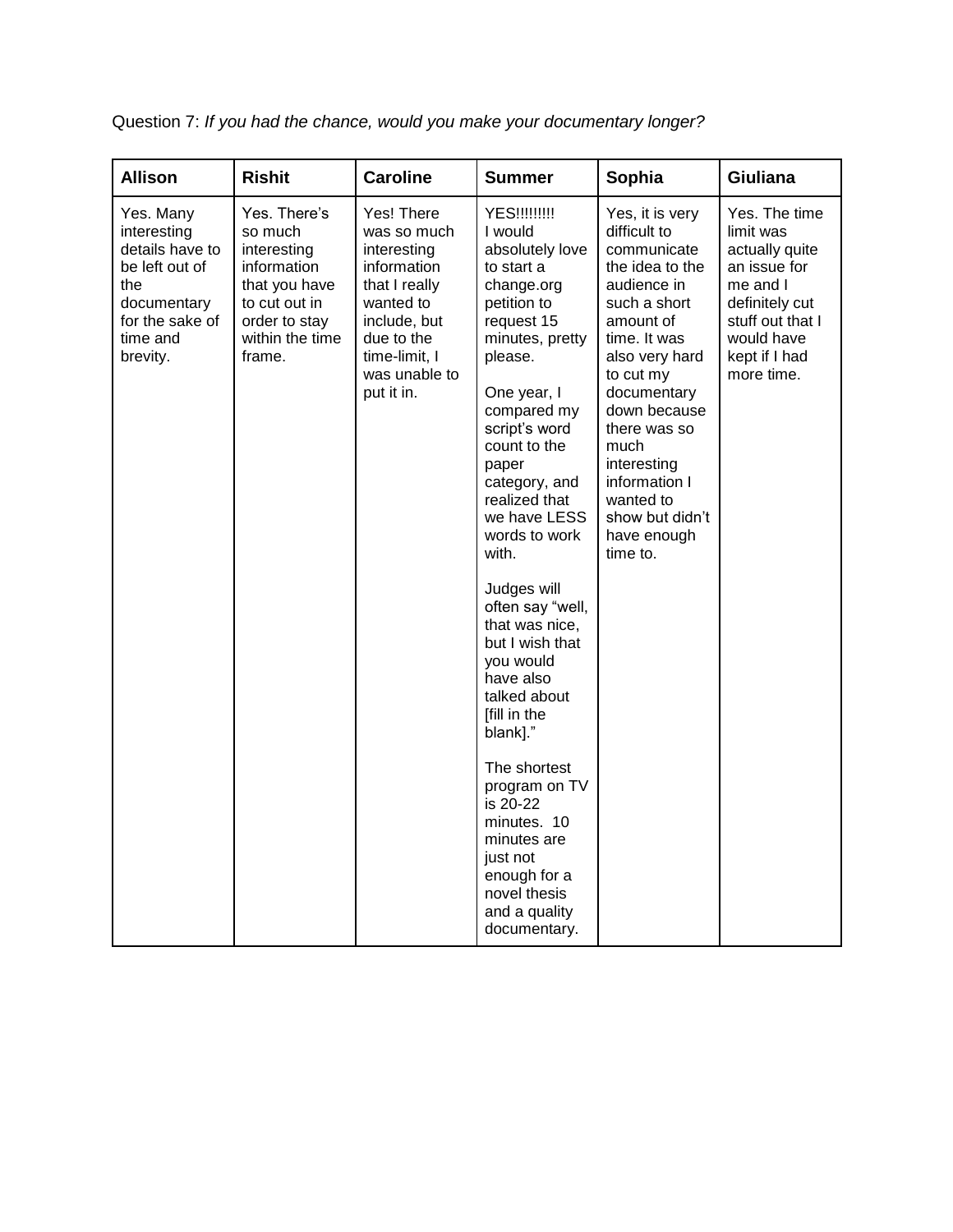| <b>Allison</b>                                                                                                                 | <b>Rishit</b>                                                                                                                         | <b>Caroline</b>                                                                                                                                                     | <b>Summer</b>                                                                                                                                                                                                                                                                                                                                                                                                                                                                                                                                                                                      | Sophia                                                                                                                                                                                                                                                                                                         | <b>Giuliana</b>                                                                                                                                             |
|--------------------------------------------------------------------------------------------------------------------------------|---------------------------------------------------------------------------------------------------------------------------------------|---------------------------------------------------------------------------------------------------------------------------------------------------------------------|----------------------------------------------------------------------------------------------------------------------------------------------------------------------------------------------------------------------------------------------------------------------------------------------------------------------------------------------------------------------------------------------------------------------------------------------------------------------------------------------------------------------------------------------------------------------------------------------------|----------------------------------------------------------------------------------------------------------------------------------------------------------------------------------------------------------------------------------------------------------------------------------------------------------------|-------------------------------------------------------------------------------------------------------------------------------------------------------------|
| Yes. Many<br>interesting<br>details have to<br>be left out of<br>the<br>documentary<br>for the sake of<br>time and<br>brevity. | Yes. There's<br>so much<br>interesting<br>information<br>that you have<br>to cut out in<br>order to stay<br>within the time<br>frame. | Yes! There<br>was so much<br>interesting<br>information<br>that I really<br>wanted to<br>include, but<br>due to the<br>time-limit, I<br>was unable to<br>put it in. | <b>YES!!!!!!!!!</b><br>I would<br>absolutely love<br>to start a<br>change.org<br>petition to<br>request 15<br>minutes, pretty<br>please.<br>One year, I<br>compared my<br>script's word<br>count to the<br>paper<br>category, and<br>realized that<br>we have LESS<br>words to work<br>with.<br>Judges will<br>often say "well,<br>that was nice,<br>but I wish that<br>you would<br>have also<br>talked about<br>[fill in the<br>blank]."<br>The shortest<br>program on TV<br>is 20-22<br>minutes. 10<br>minutes are<br>just not<br>enough for a<br>novel thesis<br>and a quality<br>documentary. | Yes, it is very<br>difficult to<br>communicate<br>the idea to the<br>audience in<br>such a short<br>amount of<br>time. It was<br>also very hard<br>to cut my<br>documentary<br>down because<br>there was so<br>much<br>interesting<br>information I<br>wanted to<br>show but didn't<br>have enough<br>time to. | Yes. The time<br>limit was<br>actually quite<br>an issue for<br>me and I<br>definitely cut<br>stuff out that I<br>would have<br>kept if I had<br>more time. |

Question 7: *If you had the chance, would you make your documentary longer?*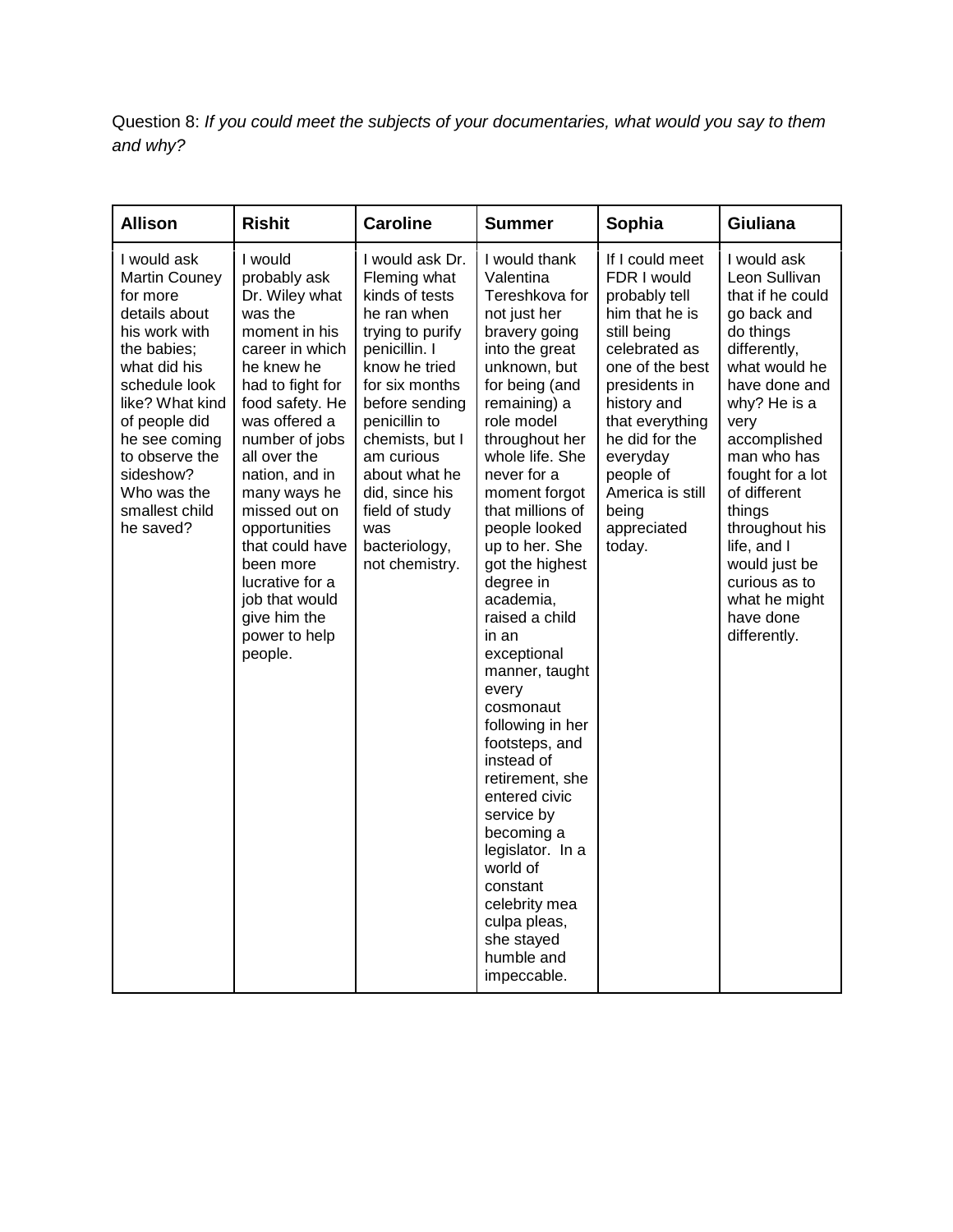Question 8: *If you could meet the subjects of your documentaries, what would you say to them and why?*

| <b>Allison</b>                                                                                                                                                                                                                                                      | <b>Rishit</b>                                                                                                                                                                                                                                                                                                                                                                         | <b>Caroline</b>                                                                                                                                                                                                                                                                                             | <b>Summer</b>                                                                                                                                                                                                                                                                                                                                                                                                                                                                                                                                                                                                                                                          | Sophia                                                                                                                                                                                                                                                                   | Giuliana                                                                                                                                                                                                                                                                                                                                             |
|---------------------------------------------------------------------------------------------------------------------------------------------------------------------------------------------------------------------------------------------------------------------|---------------------------------------------------------------------------------------------------------------------------------------------------------------------------------------------------------------------------------------------------------------------------------------------------------------------------------------------------------------------------------------|-------------------------------------------------------------------------------------------------------------------------------------------------------------------------------------------------------------------------------------------------------------------------------------------------------------|------------------------------------------------------------------------------------------------------------------------------------------------------------------------------------------------------------------------------------------------------------------------------------------------------------------------------------------------------------------------------------------------------------------------------------------------------------------------------------------------------------------------------------------------------------------------------------------------------------------------------------------------------------------------|--------------------------------------------------------------------------------------------------------------------------------------------------------------------------------------------------------------------------------------------------------------------------|------------------------------------------------------------------------------------------------------------------------------------------------------------------------------------------------------------------------------------------------------------------------------------------------------------------------------------------------------|
| I would ask<br><b>Martin Couney</b><br>for more<br>details about<br>his work with<br>the babies;<br>what did his<br>schedule look<br>like? What kind<br>of people did<br>he see coming<br>to observe the<br>sideshow?<br>Who was the<br>smallest child<br>he saved? | I would<br>probably ask<br>Dr. Wiley what<br>was the<br>moment in his<br>career in which<br>he knew he<br>had to fight for<br>food safety. He<br>was offered a<br>number of jobs<br>all over the<br>nation, and in<br>many ways he<br>missed out on<br>opportunities<br>that could have<br>been more<br>lucrative for a<br>job that would<br>give him the<br>power to help<br>people. | I would ask Dr.<br>Fleming what<br>kinds of tests<br>he ran when<br>trying to purify<br>penicillin. I<br>know he tried<br>for six months<br>before sending<br>penicillin to<br>chemists, but I<br>am curious<br>about what he<br>did, since his<br>field of study<br>was<br>bacteriology,<br>not chemistry. | I would thank<br>Valentina<br>Tereshkova for<br>not just her<br>bravery going<br>into the great<br>unknown, but<br>for being (and<br>remaining) a<br>role model<br>throughout her<br>whole life. She<br>never for a<br>moment forgot<br>that millions of<br>people looked<br>up to her. She<br>got the highest<br>degree in<br>academia,<br>raised a child<br>in an<br>exceptional<br>manner, taught<br>every<br>cosmonaut<br>following in her<br>footsteps, and<br>instead of<br>retirement, she<br>entered civic<br>service by<br>becoming a<br>legislator. In a<br>world of<br>constant<br>celebrity mea<br>culpa pleas,<br>she stayed<br>humble and<br>impeccable. | If I could meet<br>FDR I would<br>probably tell<br>him that he is<br>still being<br>celebrated as<br>one of the best<br>presidents in<br>history and<br>that everything<br>he did for the<br>everyday<br>people of<br>America is still<br>being<br>appreciated<br>today. | I would ask<br>Leon Sullivan<br>that if he could<br>go back and<br>do things<br>differently,<br>what would he<br>have done and<br>why? He is a<br>very<br>accomplished<br>man who has<br>fought for a lot<br>of different<br>things<br>throughout his<br>life, and I<br>would just be<br>curious as to<br>what he might<br>have done<br>differently. |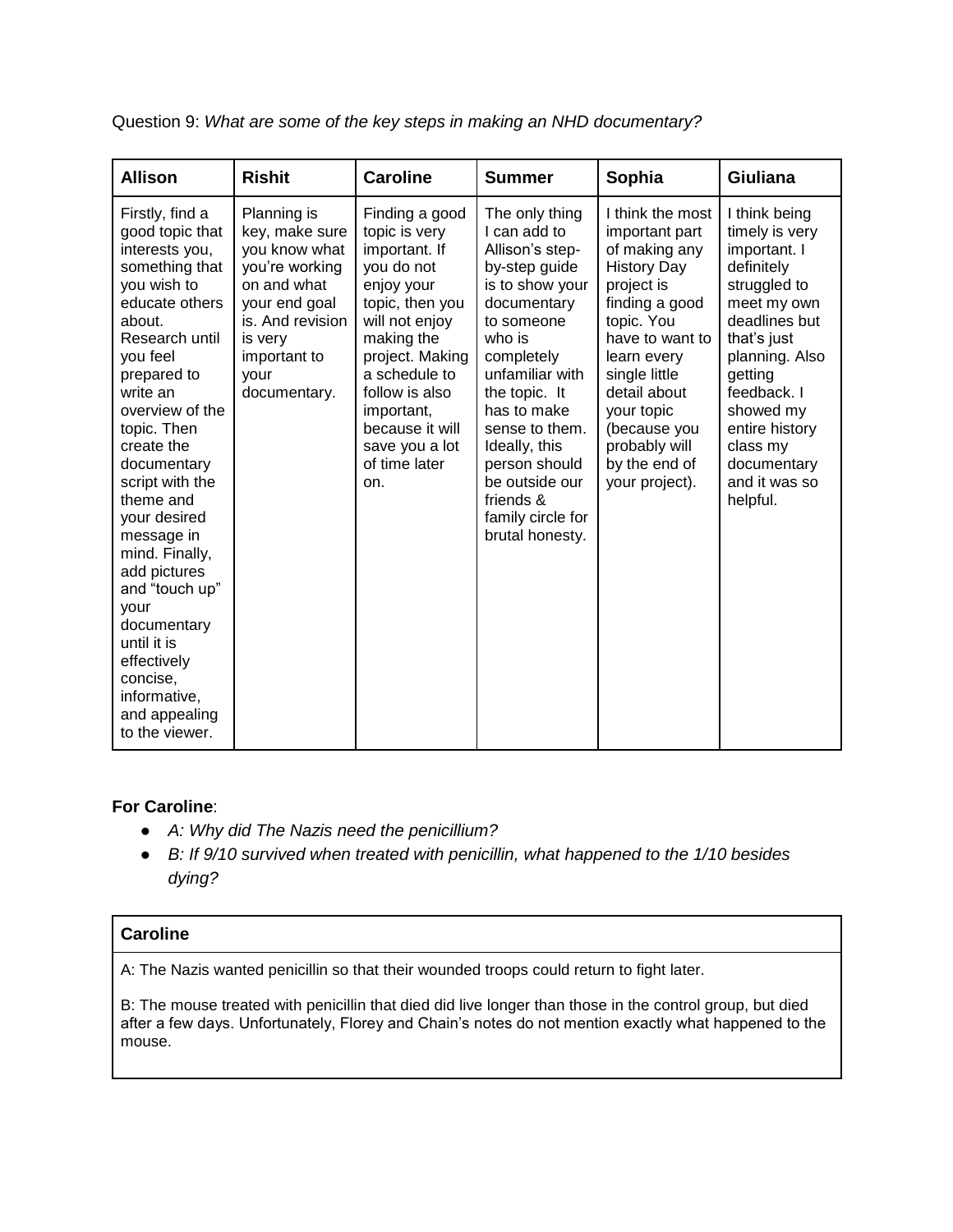| <b>Allison</b>                                                                                                                                                                                                                                                                                                                                                                                                                                                                  | <b>Rishit</b>                                                                                                                                                           | <b>Caroline</b>                                                                                                                                                                                                                                                  | <b>Summer</b>                                                                                                                                                                                                                                                                                                            | Sophia                                                                                                                                                                                                                                                                       | Giuliana                                                                                                                                                                                                                                                        |
|---------------------------------------------------------------------------------------------------------------------------------------------------------------------------------------------------------------------------------------------------------------------------------------------------------------------------------------------------------------------------------------------------------------------------------------------------------------------------------|-------------------------------------------------------------------------------------------------------------------------------------------------------------------------|------------------------------------------------------------------------------------------------------------------------------------------------------------------------------------------------------------------------------------------------------------------|--------------------------------------------------------------------------------------------------------------------------------------------------------------------------------------------------------------------------------------------------------------------------------------------------------------------------|------------------------------------------------------------------------------------------------------------------------------------------------------------------------------------------------------------------------------------------------------------------------------|-----------------------------------------------------------------------------------------------------------------------------------------------------------------------------------------------------------------------------------------------------------------|
| Firstly, find a<br>good topic that<br>interests you,<br>something that<br>you wish to<br>educate others<br>about.<br>Research until<br>you feel<br>prepared to<br>write an<br>overview of the<br>topic. Then<br>create the<br>documentary<br>script with the<br>theme and<br>your desired<br>message in<br>mind. Finally,<br>add pictures<br>and "touch up"<br>your<br>documentary<br>until it is<br>effectively<br>concise,<br>informative,<br>and appealing<br>to the viewer. | Planning is<br>key, make sure<br>you know what<br>you're working<br>on and what<br>your end goal<br>is. And revision<br>is very<br>important to<br>your<br>documentary. | Finding a good<br>topic is very<br>important. If<br>you do not<br>enjoy your<br>topic, then you<br>will not enjoy<br>making the<br>project. Making<br>a schedule to<br>follow is also<br>important,<br>because it will<br>save you a lot<br>of time later<br>on. | The only thing<br>I can add to<br>Allison's step-<br>by-step guide<br>is to show your<br>documentary<br>to someone<br>who is<br>completely<br>unfamiliar with<br>the topic. It<br>has to make<br>sense to them.<br>Ideally, this<br>person should<br>be outside our<br>friends &<br>family circle for<br>brutal honesty. | I think the most<br>important part<br>of making any<br><b>History Day</b><br>project is<br>finding a good<br>topic. You<br>have to want to<br>learn every<br>single little<br>detail about<br>your topic<br>(because you<br>probably will<br>by the end of<br>your project). | I think being<br>timely is very<br>important. I<br>definitely<br>struggled to<br>meet my own<br>deadlines but<br>that's just<br>planning. Also<br>getting<br>feedback. I<br>showed my<br>entire history<br>class my<br>documentary<br>and it was so<br>helpful. |

Question 9: *What are some of the key steps in making an NHD documentary?*

## **For Caroline**:

- *A: Why did The Nazis need the penicillium?*
- *B: If 9/10 survived when treated with penicillin, what happened to the 1/10 besides dying?*

## **Caroline**

A: The Nazis wanted penicillin so that their wounded troops could return to fight later.

B: The mouse treated with penicillin that died did live longer than those in the control group, but died after a few days. Unfortunately, Florey and Chain's notes do not mention exactly what happened to the mouse.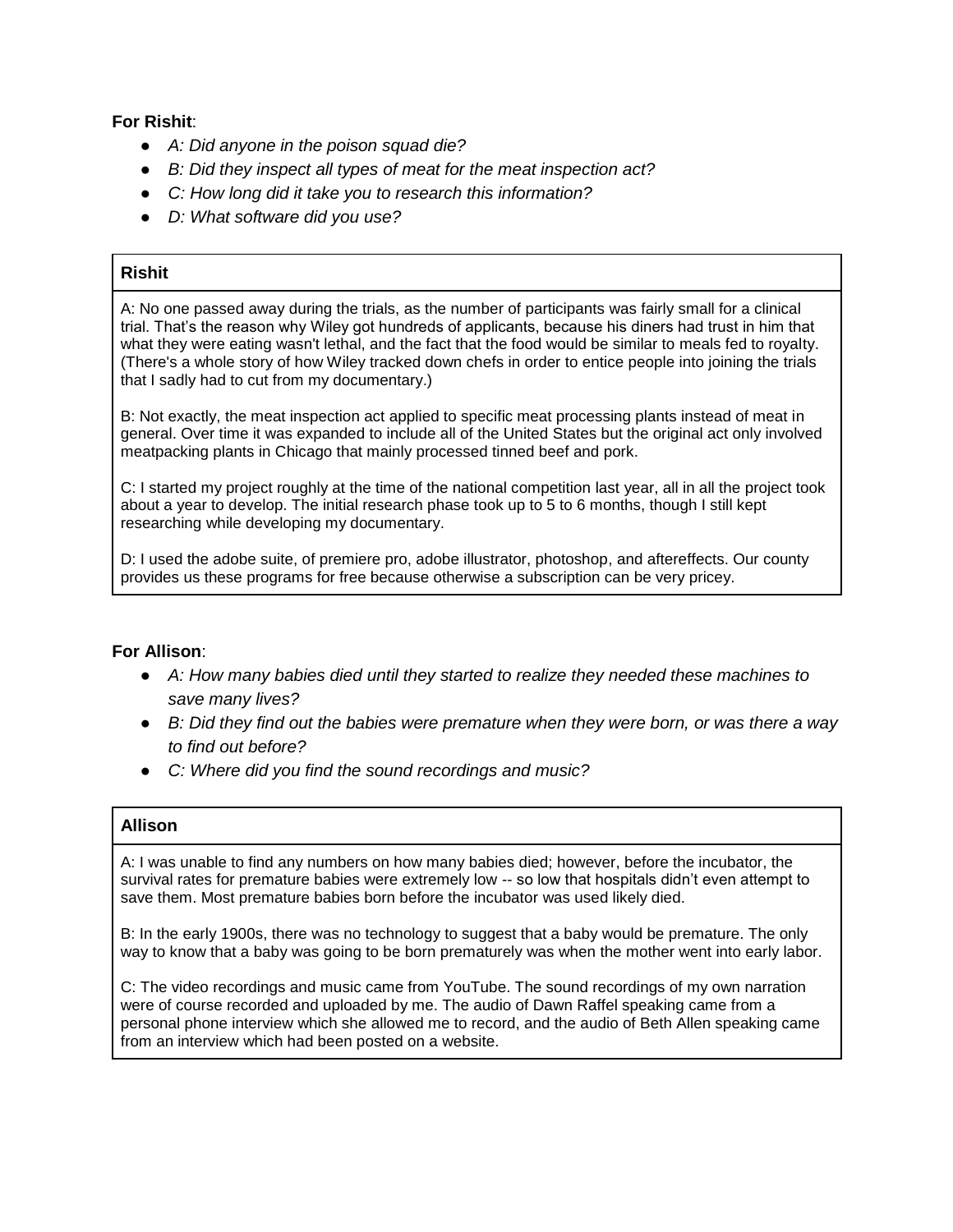## **For Rishit**:

- *A: Did anyone in the poison squad die?*
- *B: Did they inspect all types of meat for the meat inspection act?*
- *C: How long did it take you to research this information?*
- *D: What software did you use?*

## **Rishit**

A: No one passed away during the trials, as the number of participants was fairly small for a clinical trial. That's the reason why Wiley got hundreds of applicants, because his diners had trust in him that what they were eating wasn't lethal, and the fact that the food would be similar to meals fed to royalty. (There's a whole story of how Wiley tracked down chefs in order to entice people into joining the trials that I sadly had to cut from my documentary.)

B: Not exactly, the meat inspection act applied to specific meat processing plants instead of meat in general. Over time it was expanded to include all of the United States but the original act only involved meatpacking plants in Chicago that mainly processed tinned beef and pork.

C: I started my project roughly at the time of the national competition last year, all in all the project took about a year to develop. The initial research phase took up to 5 to 6 months, though I still kept researching while developing my documentary.

D: I used the adobe suite, of premiere pro, adobe illustrator, photoshop, and aftereffects. Our county provides us these programs for free because otherwise a subscription can be very pricey.

## **For Allison**:

- *A: How many babies died until they started to realize they needed these machines to save many lives?*
- *B: Did they find out the babies were premature when they were born, or was there a way to find out before?*
- *C: Where did you find the sound recordings and music?*

## **Allison**

A: I was unable to find any numbers on how many babies died; however, before the incubator, the survival rates for premature babies were extremely low -- so low that hospitals didn't even attempt to save them. Most premature babies born before the incubator was used likely died.

B: In the early 1900s, there was no technology to suggest that a baby would be premature. The only way to know that a baby was going to be born prematurely was when the mother went into early labor.

C: The video recordings and music came from YouTube. The sound recordings of my own narration were of course recorded and uploaded by me. The audio of Dawn Raffel speaking came from a personal phone interview which she allowed me to record, and the audio of Beth Allen speaking came from an interview which had been posted on a website.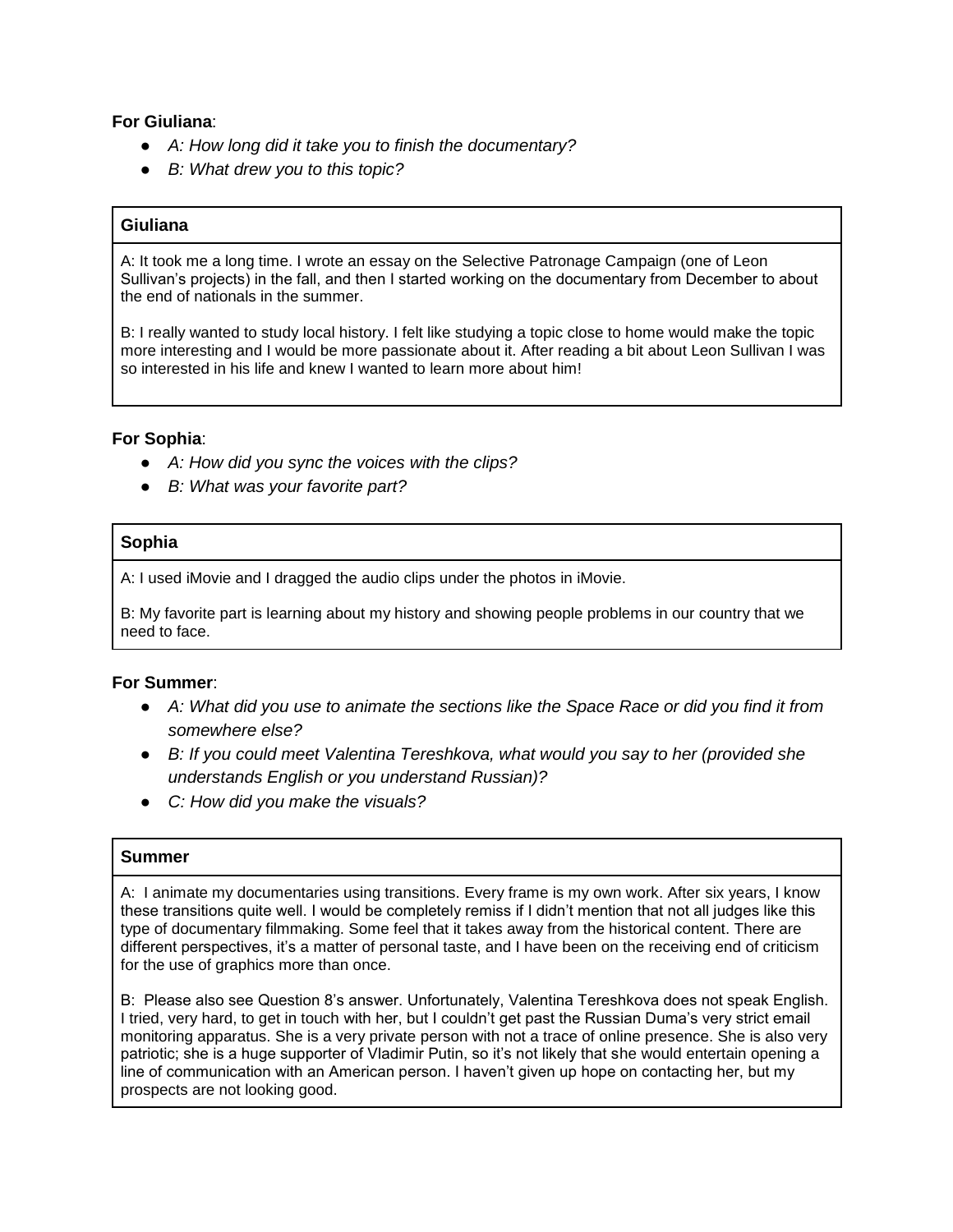### **For Giuliana**:

- *A: How long did it take you to finish the documentary?*
- *B: What drew you to this topic?*

## **Giuliana**

A: It took me a long time. I wrote an essay on the Selective Patronage Campaign (one of Leon Sullivan's projects) in the fall, and then I started working on the documentary from December to about the end of nationals in the summer.

B: I really wanted to study local history. I felt like studying a topic close to home would make the topic more interesting and I would be more passionate about it. After reading a bit about Leon Sullivan I was so interested in his life and knew I wanted to learn more about him!

#### **For Sophia**:

- *A: How did you sync the voices with the clips?*
- *B: What was your favorite part?*

### **Sophia**

A: I used iMovie and I dragged the audio clips under the photos in iMovie.

B: My favorite part is learning about my history and showing people problems in our country that we need to face.

#### **For Summer**:

- *A: What did you use to animate the sections like the Space Race or did you find it from somewhere else?*
- *B: If you could meet Valentina Tereshkova, what would you say to her (provided she understands English or you understand Russian)?*
- *C: How did you make the visuals?*

### **Summer**

A: I animate my documentaries using transitions. Every frame is my own work. After six years, I know these transitions quite well. I would be completely remiss if I didn't mention that not all judges like this type of documentary filmmaking. Some feel that it takes away from the historical content. There are different perspectives, it's a matter of personal taste, and I have been on the receiving end of criticism for the use of graphics more than once.

B: Please also see Question 8's answer. Unfortunately, Valentina Tereshkova does not speak English. I tried, very hard, to get in touch with her, but I couldn't get past the Russian Duma's very strict email monitoring apparatus. She is a very private person with not a trace of online presence. She is also very patriotic; she is a huge supporter of Vladimir Putin, so it's not likely that she would entertain opening a line of communication with an American person. I haven't given up hope on contacting her, but my prospects are not looking good.